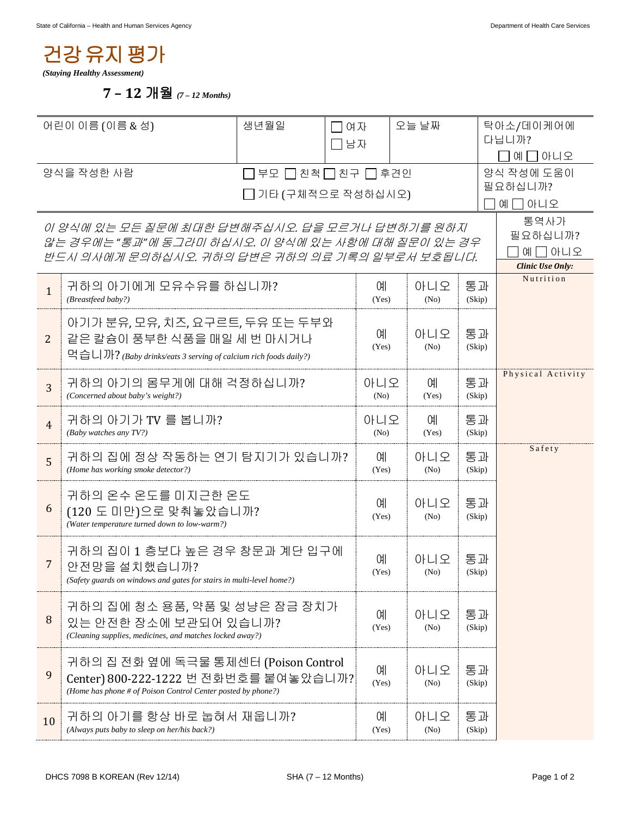## 건강유지평가

*(Staying Healthy Assessment)* 

 **7 – 12** 개월 *(7 – 12 Months)* 

| 어린이 이름 (이름 & 성)                                                                                      |                                                                                      | 생년월일 | □여자                |             | 오늘 날짜       |                      | 탁아소/데이케어에<br>다닙니까?                   |  |
|------------------------------------------------------------------------------------------------------|--------------------------------------------------------------------------------------|------|--------------------|-------------|-------------|----------------------|--------------------------------------|--|
|                                                                                                      |                                                                                      |      | ヿ남자                |             |             |                      | 예 그 아니오                              |  |
| 양식을 작성한 사람                                                                                           |                                                                                      |      | 부모 □ 친척 □ 친구 □ 후견인 |             |             |                      | 양식 작성에 도움이                           |  |
| 기타 (구체적으로 작성하십시오)                                                                                    |                                                                                      |      |                    |             |             | 필요하십니까?<br>ㄱ아니오<br>예 |                                      |  |
|                                                                                                      |                                                                                      |      |                    |             |             |                      | 통역사가                                 |  |
| 이 양식에 있는 모든 질문에 최대한 답변해주십시오. 답을 모르거나 답변하기를 원하지<br>않는 경우에는 "통과"에 동그라미 하십시오. 이 양식에 있는 사항에 대해 질문이 있는 경우 |                                                                                      |      |                    |             |             | 필요하십니까?              |                                      |  |
| 반드시 의사에게 문의하십시오. 귀하의 답변은 귀하의 의료 기록의 일부로서 보호됩니다.                                                      |                                                                                      |      |                    |             |             | 예 囗 아니오              |                                      |  |
|                                                                                                      |                                                                                      |      |                    |             |             |                      | <b>Clinic Use Only:</b><br>Nutrition |  |
| $\mathbf{1}$                                                                                         | 귀하의 아기에게 모유수유를 하십니까?<br>(Breastfeed baby?)                                           |      |                    |             | 아니오<br>(No) | 통과<br>(Skip)         |                                      |  |
|                                                                                                      | 아기가 분유, 모유, 치즈, 요구르트, 두유 또는 두부와                                                      |      |                    |             |             |                      |                                      |  |
| 2                                                                                                    | 같은 칼슘이 풍부한 식품을 매일 세 번 마시거나                                                           |      |                    | 예<br>(Yes)  | 아니오<br>(No) | 통과<br>(Skip)         |                                      |  |
|                                                                                                      | 먹습니까? (Baby drinks/eats 3 serving of calcium rich foods daily?)                      |      |                    |             |             |                      |                                      |  |
| 3                                                                                                    | 귀하의 아기의 몸무게에 대해 걱정하십니까?                                                              |      |                    | 아니오         | 0H          | 통과                   | Physical Activity                    |  |
|                                                                                                      | (Concerned about baby's weight?)                                                     |      |                    | (No)        | (Yes)       | (Skip)               |                                      |  |
| $\overline{4}$                                                                                       | 귀하의 아기가 TV 를 봅니까?<br>(Baby watches any TV?)                                          |      |                    | 아니오<br>(No) | ОH<br>(Yes) | 통과<br>(Skip)         |                                      |  |
|                                                                                                      |                                                                                      |      |                    |             | 아니오         |                      | Safety                               |  |
| 5                                                                                                    | 귀하의 집에 정상 작동하는 연기 탐지기가 있습니까?<br>(Home has working smoke detector?)                   |      |                    | 예<br>(Yes)  | (No)        | 통과<br>(Skip)         |                                      |  |
|                                                                                                      | 귀하의 온수 온도를 미지근한 온도                                                                   |      |                    |             |             |                      |                                      |  |
| 6                                                                                                    | (120 도 미만)으로 맞춰놓았습니까?                                                                |      |                    | 예<br>(Yes)  | 아니오<br>(No) | 통과<br>(Skip)         |                                      |  |
|                                                                                                      | (Water temperature turned down to low-warm?)                                         |      |                    |             |             |                      |                                      |  |
|                                                                                                      | 귀하의 집이 1 층보다 높은 경우 창문과 계단 입구에                                                        |      |                    | 예           | 아니오         | 통과                   |                                      |  |
| 7                                                                                                    | 안전망을 설치했습니까?<br>(Safety guards on windows and gates for stairs in multi-level home?) |      |                    | (Yes)       | (No)        | (Skip)               |                                      |  |
|                                                                                                      |                                                                                      |      |                    |             |             |                      |                                      |  |
| 8                                                                                                    | 귀하의 집에 청소 용품, 약품 및 성냥은 잠금 장치가                                                        |      |                    | 예           | 아니오         | 통과                   |                                      |  |
|                                                                                                      | 있는 안전한 장소에 보관되어 있습니까?<br>(Cleaning supplies, medicines, and matches locked away?)    |      |                    | (Yes)       | (No)        | (Skip)               |                                      |  |
|                                                                                                      | 귀하의 집 전화 옆에 독극물 통제센터 (Poison Control                                                 |      |                    |             |             |                      |                                      |  |
| 9                                                                                                    | Center) 800-222-1222 번 전화번호를 붙여놓았습니까?                                                |      |                    | 예           | 아니오         | 통과                   |                                      |  |
|                                                                                                      | (Home has phone # of Poison Control Center posted by phone?)                         |      |                    | (Yes)       | (No)        | (Skip)               |                                      |  |
| 10                                                                                                   | 귀하의 아기를 항상 바로 눕혀서 재웁니까?                                                              |      |                    | 예           | 아니오         | 통과                   |                                      |  |
|                                                                                                      | (Always puts baby to sleep on her/his back?)                                         |      |                    | (Yes)       | (No)        | (Skip)               |                                      |  |